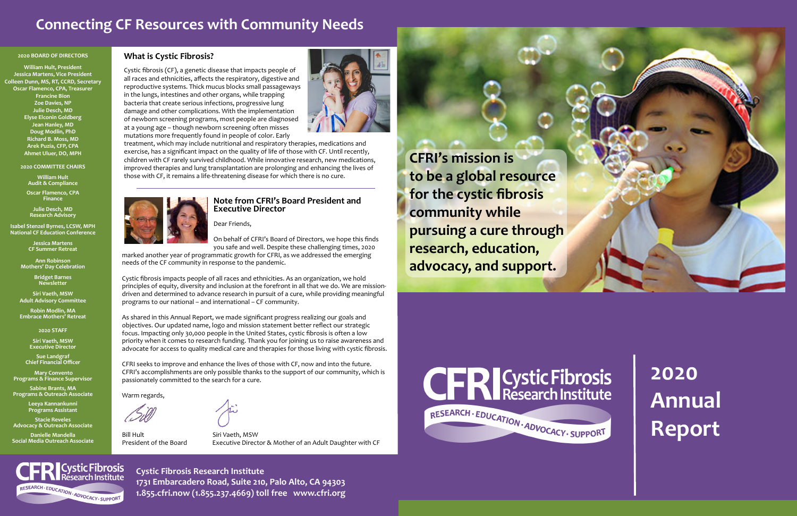#### **2020 BOARD OF DIRECTORS**

**William Hult, President Jessica Martens, Vice President Colleen Dunn, MS, RT, CCRD, Secretary Oscar Flamenco, CPA, Treasurer Francine Bion Zoe Davies, NP Julie Desch, MD Elyse Elconin Goldberg Jean Hanley, MD Doug Modlin, PhD Richard B. Moss, MD Arek Puzia, CFP, CPA Ahmet Uluer, DO, MPH**

#### **2020 COMMITTEE CHAIRS**

**William Hult Audit & Compliance**

**Oscar Flamenco, CPA Finance**

**Julie Desch, MD Research Advisory**

**Isabel Stenzel Byrnes, LCSW, MPH National CF Education Conference** 

> **Jessica Martens CF Summer Retreat**

**Ann Robinson Mothers' Day Celebration**

> **Bridget Barnes Newsletter**

**Siri Vaeth, MSW Adult Advisory Committee**

**Robin Modlin, MA Embrace Mothers' Retreat**

**2020 STAFF**

**Siri Vaeth, MSW Executive Director** 

**Sue Landgraf Chief Financial Officer**

 **Mary Convento Programs & Finance Supervisor**

**Sabine Brants, MA Programs & Outreach Associate**

**Leeya Kannankunni Programs Assistant**

**Stacie Reveles Advocacy & Outreach Associate**

**Danielle Mandella Social Media Outreach Associate**

**Cystic Fibrosis**<br>Research Institute

RESEARCH - EDUCATION - ADVOCACY - SUPPORT

**Cystic Fibrosis Research Institute 1731 Embarcadero Road, Suite 210, Palo Alto, CA 94303 1.855.cfri.now (1.855.237.4669) toll free www.cfri.org**

# **2020 Annual Report**

## **Connecting CF Resources with Community Needs**

### **What is Cystic Fibrosis?**

Cystic fibrosis (CF), a genetic disease that impacts people of all races and ethnicities, affects the respiratory, digestive and reproductive systems. Thick mucus blocks small passageways in the lungs, intestines and other organs, while trapping bacteria that create serious infections, progressive lung damage and other complications. With the implementation of newborn screening programs, most people are diagnosed at a young age – though newborn screening often misses mutations more frequently found in people of color. Early



Bill Hult Siri Vaeth, MSW



treatment, which may include nutritional and respiratory therapies, medications and exercise, has a significant impact on the quality of life of those with CF. Until recently, children with CF rarely survived childhood. While innovative research, new medications, improved therapies and lung transplantation are prolonging and enhancing the lives of those with CF, it remains a life-threatening disease for which there is no cure.



**CFRI's mission is to be a global resource for the cystic fibrosis community while pursuing a cure through research, education, advocacy, and support.** 





#### **Note from CFRI's Board President and Executive Director**

Dear Friends,

On behalf of CFRI's Board of Directors, we hope this finds you safe and well. Despite these challenging times, 2020

marked another year of programmatic growth for CFRI, as we addressed the emerging needs of the CF community in response to the pandemic.

Cystic fibrosis impacts people of all races and ethnicities. As an organization, we hold principles of equity, diversity and inclusion at the forefront in all that we do. We are missiondriven and determined to advance research in pursuit of a cure, while providing meaningful programs to our national – and international – CF community.

As shared in this Annual Report, we made significant progress realizing our goals and objectives. Our updated name, logo and mission statement better reflect our strategic focus. Impacting only 30,000 people in the United States, cystic fibrosis is often a low priority when it comes to research funding. Thank you for joining us to raise awareness and advocate for access to quality medical care and therapies for those living with cystic fibrosis.

CFRI seeks to improve and enhance the lives of those with CF, now and into the future. CFRI's accomplishments are only possible thanks to the support of our community, which is passionately committed to the search for a cure.

Warm regards,